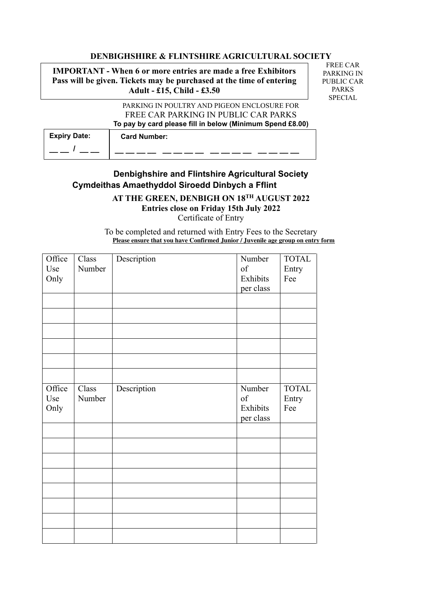## **DENBIGHSHIRE & FLINTSHIRE AGRICULTURAL SOCIETY**

**IMPORTANT - When 6 or more entries are made a free Exhibitors Pass will be given. Tickets may be purchased at the time of entering Adult - £15, Child - £3.50**

FREE CAR PARKING IN PUBLIC CAR PARKS SPECIAL

PARKING IN POULTRY AND PIGEON ENCLOSURE FOR FREE CAR PARKING IN PUBLIC CAR PARKS **To pay by card please fill in below (Minimum Spend £8.00)**

| <b>Expiry Date:</b> | <b>Card Number:</b> |
|---------------------|---------------------|
|                     |                     |

## **Denbighshire and Flintshire Agricultural Society Cymdeithas Amaethyddol Siroedd Dinbych a Fflint**

**AT THE GREEN, DENBIGH ON 18TH AUGUST 2022**

**Entries close on Friday 15th July 2022**

Certificate of Entry

To be completed and returned with Entry Fees to the Secretary **Please ensure that you have Confirmed Junior / Juvenile age group on entry form**

| Office<br>Use<br>Only | Class<br>Number | Description | Number<br>of<br>Exhibits<br>per class | <b>TOTAL</b><br>Entry<br>Fee |
|-----------------------|-----------------|-------------|---------------------------------------|------------------------------|
|                       |                 |             |                                       |                              |
| Office<br>Use<br>Only | Class<br>Number | Description | Number<br>of<br>Exhibits<br>per class | <b>TOTAL</b><br>Entry<br>Fee |
|                       |                 |             |                                       |                              |
|                       |                 |             |                                       |                              |